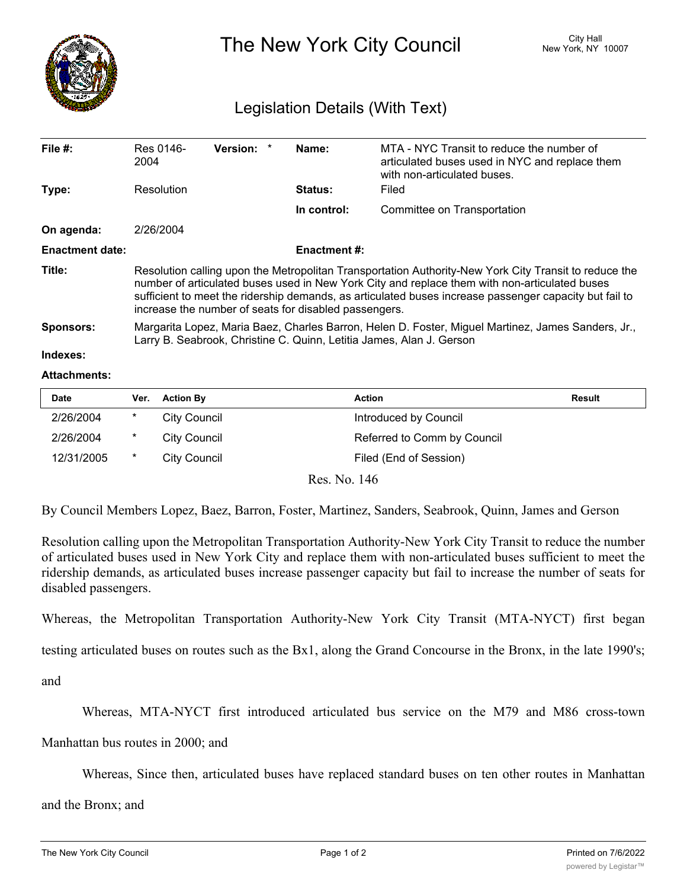

The New York City Council New York, NY 10007

## Legislation Details (With Text)

| File $#$ :             | Res 0146-<br>2004                                                                                                                                                                                                                                                                                                                                                         | <b>Version:</b> | Name:          | MTA - NYC Transit to reduce the number of<br>articulated buses used in NYC and replace them<br>with non-articulated buses. |  |  |
|------------------------|---------------------------------------------------------------------------------------------------------------------------------------------------------------------------------------------------------------------------------------------------------------------------------------------------------------------------------------------------------------------------|-----------------|----------------|----------------------------------------------------------------------------------------------------------------------------|--|--|
| Type:                  | Resolution                                                                                                                                                                                                                                                                                                                                                                |                 | <b>Status:</b> | Filed                                                                                                                      |  |  |
|                        |                                                                                                                                                                                                                                                                                                                                                                           |                 | In control:    | Committee on Transportation                                                                                                |  |  |
| On agenda:             | 2/26/2004                                                                                                                                                                                                                                                                                                                                                                 |                 |                |                                                                                                                            |  |  |
| <b>Enactment date:</b> | <b>Enactment #:</b>                                                                                                                                                                                                                                                                                                                                                       |                 |                |                                                                                                                            |  |  |
| Title:                 | Resolution calling upon the Metropolitan Transportation Authority-New York City Transit to reduce the<br>number of articulated buses used in New York City and replace them with non-articulated buses<br>sufficient to meet the ridership demands, as articulated buses increase passenger capacity but fail to<br>increase the number of seats for disabled passengers. |                 |                |                                                                                                                            |  |  |
| <b>Sponsors:</b>       | Margarita Lopez, Maria Baez, Charles Barron, Helen D. Foster, Miguel Martinez, James Sanders, Jr.,<br>Larry B. Seabrook, Christine C. Quinn, Letitia James, Alan J. Gerson                                                                                                                                                                                                |                 |                |                                                                                                                            |  |  |
| Indexes:               |                                                                                                                                                                                                                                                                                                                                                                           |                 |                |                                                                                                                            |  |  |

## **Attachments:**

| <b>Date</b> | Ver. | <b>Action By</b> | Action                      | <b>Result</b> |
|-------------|------|------------------|-----------------------------|---------------|
| 2/26/2004   | *    | City Council     | Introduced by Council       |               |
| 2/26/2004   | *    | City Council     | Referred to Comm by Council |               |
| 12/31/2005  | *    | City Council     | Filed (End of Session)      |               |

Res. No. 146

By Council Members Lopez, Baez, Barron, Foster, Martinez, Sanders, Seabrook, Quinn, James and Gerson

Resolution calling upon the Metropolitan Transportation Authority-New York City Transit to reduce the number of articulated buses used in New York City and replace them with non-articulated buses sufficient to meet the ridership demands, as articulated buses increase passenger capacity but fail to increase the number of seats for disabled passengers.

Whereas, the Metropolitan Transportation Authority-New York City Transit (MTA-NYCT) first began

testing articulated buses on routes such as the Bx1, along the Grand Concourse in the Bronx, in the late 1990's;

and

Whereas, MTA-NYCT first introduced articulated bus service on the M79 and M86 cross-town

Manhattan bus routes in 2000; and

Whereas, Since then, articulated buses have replaced standard buses on ten other routes in Manhattan

 $\mathcal{L}_{\text{max}}$  as, The longer buses have greater capacity, the buses to run less to run less to run less to run less to run less to run less to run less to run less to run less to run less to run less to run less to run le

and the Bronx; and